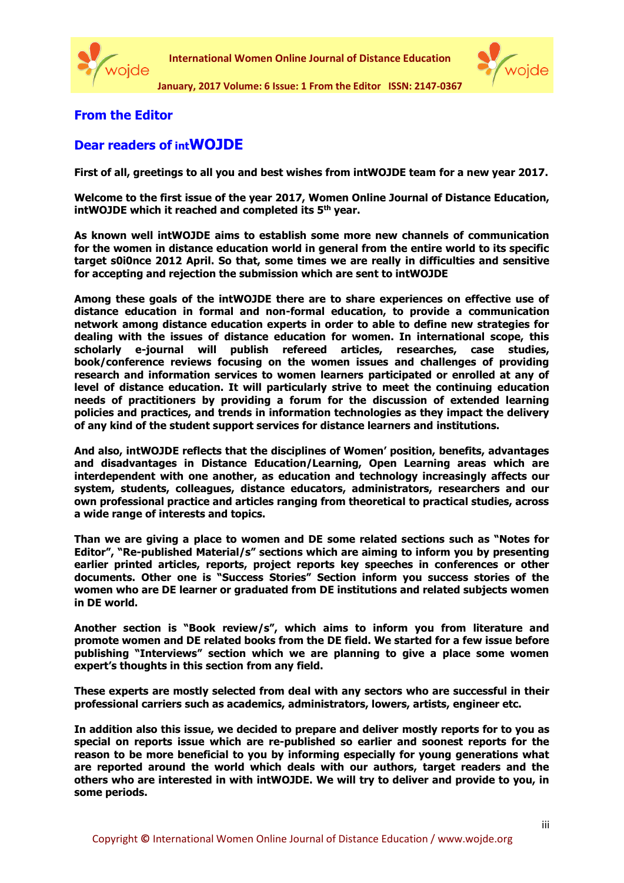



**January, 2017 Volume: 6 Issue: 1 From the Editor ISSN: 2147-0367**

## **From the Editor**

## **Dear readers of intWOJDE**

**First of all, greetings to all you and best wishes from intWOJDE team for a new year 2017.**

**Welcome to the first issue of the year 2017, Women Online Journal of Distance Education, intWOJDE which it reached and completed its 5th year.**

**As known well intWOJDE aims to establish some more new channels of communication for the women in distance education world in general from the entire world to its specific target s0i0nce 2012 April. So that, some times we are really in difficulties and sensitive for accepting and rejection the submission which are sent to intWOJDE** 

**Among these goals of the intWOJDE there are to share experiences on effective use of distance education in formal and non-formal education, to provide a communication network among distance education experts in order to able to define new strategies for dealing with the issues of distance education for women. In international scope, this scholarly e-journal will publish refereed articles, researches, case studies, book/conference reviews focusing on the women issues and challenges of providing research and information services to women learners participated or enrolled at any of level of distance education. It will particularly strive to meet the continuing education needs of practitioners by providing a forum for the discussion of extended learning policies and practices, and trends in information technologies as they impact the delivery of any kind of the student support services for distance learners and institutions.** 

**And also, intWOJDE reflects that the disciplines of Women' position, benefits, advantages and disadvantages in Distance Education/Learning, Open Learning areas which are interdependent with one another, as education and technology increasingly affects our system, students, colleagues, distance educators, administrators, researchers and our own professional practice and articles ranging from theoretical to practical studies, across a wide range of interests and topics.** 

**Than we are giving a place to women and DE some related sections such as "Notes for Editor", "Re-published Material/s" sections which are aiming to inform you by presenting earlier printed articles, reports, project reports key speeches in conferences or other documents. Other one is "Success Stories" Section inform you success stories of the women who are DE learner or graduated from DE institutions and related subjects women in DE world.** 

**Another section is "Book review/s", which aims to inform you from literature and promote women and DE related books from the DE field. We started for a few issue before publishing "Interviews" section which we are planning to give a place some women expert's thoughts in this section from any field.** 

**These experts are mostly selected from deal with any sectors who are successful in their professional carriers such as academics, administrators, lowers, artists, engineer etc.** 

**In addition also this issue, we decided to prepare and deliver mostly reports for to you as special on reports issue which are re-published so earlier and soonest reports for the reason to be more beneficial to you by informing especially for young generations what are reported around the world which deals with our authors, target readers and the others who are interested in with intWOJDE. We will try to deliver and provide to you, in some periods.**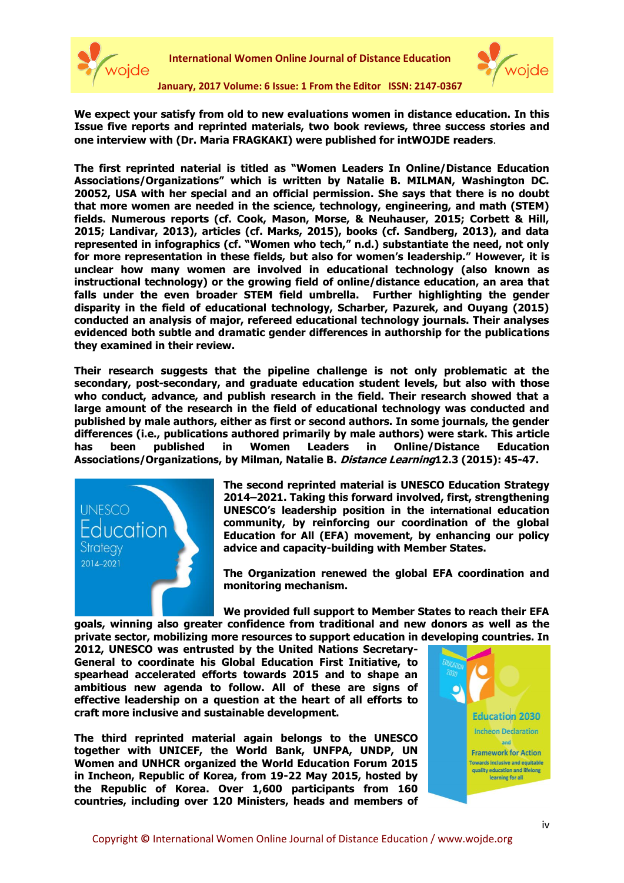



**We expect your satisfy from old to new evaluations women in distance education. In this Issue five reports and reprinted materials, two book reviews, three success stories and one interview with (Dr. Maria FRAGKAKI) were published for intWOJDE readers**.

**The first reprinted naterial is titled as "Women Leaders In Online/Distance Education Associations/Organizations" which is written by Natalie B. MILMAN, Washington DC. 20052, USA with her special and an official permission. She says that there is no doubt that more women are needed in the science, technology, engineering, and math (STEM) fields. Numerous reports (cf. Cook, Mason, Morse, & Neuhauser, 2015; Corbett & Hill, 2015; Landivar, 2013), articles (cf. Marks, 2015), books (cf. Sandberg, 2013), and data represented in infographics (cf. "Women who tech," n.d.) substantiate the need, not only for more representation in these fields, but also for women's leadership." However, it is unclear how many women are involved in educational technology (also known as instructional technology) or the growing field of online/distance education, an area that falls under the even broader STEM field umbrella. Further highlighting the gender disparity in the field of educational technology, Scharber, Pazurek, and Ouyang (2015) conducted an analysis of major, refereed educational technology journals. Their analyses evidenced both subtle and dramatic gender differences in authorship for the publications they examined in their review.**

**Their research suggests that the pipeline challenge is not only problematic at the secondary, post-secondary, and graduate education student levels, but also with those who conduct, advance, and publish research in the field. Their research showed that a large amount of the research in the field of educational technology was conducted and published by male authors, either as first or second authors. In some journals, the gender differences (i.e., publications authored primarily by male authors) were stark. This article has been published in Women Leaders in Online/Distance Education Associations/Organizations, by Milman, Natalie B. Distance Learning12.3 (2015): 45-47.**



**The second reprinted material is UNESCO Education Strategy 2014–2021. Taking this forward involved, first, strengthening UNESCO's leadership position in the international education community, by reinforcing our coordination of the global Education for All (EFA) movement, by enhancing our policy advice and capacity-building with Member States.** 

**The Organization renewed the global EFA coordination and monitoring mechanism.**

**We provided full support to Member States to reach their EFA goals, winning also greater confidence from traditional and new donors as well as the private sector, mobilizing more resources to support education in developing countries. In** 

**2012, UNESCO was entrusted by the United Nations Secretary-General to coordinate his Global Education First Initiative, to spearhead accelerated efforts towards 2015 and to shape an ambitious new agenda to follow. All of these are signs of effective leadership on a question at the heart of all efforts to craft more inclusive and sustainable development.**

**The third reprinted material again belongs to the UNESCO together with UNICEF, the World Bank, UNFPA, UNDP, UN Women and UNHCR organized the World Education Forum 2015 in Incheon, Republic of Korea, from 19-22 May 2015, hosted by the Republic of Korea. Over 1,600 participants from 160 countries, including over 120 Ministers, heads and members of** 

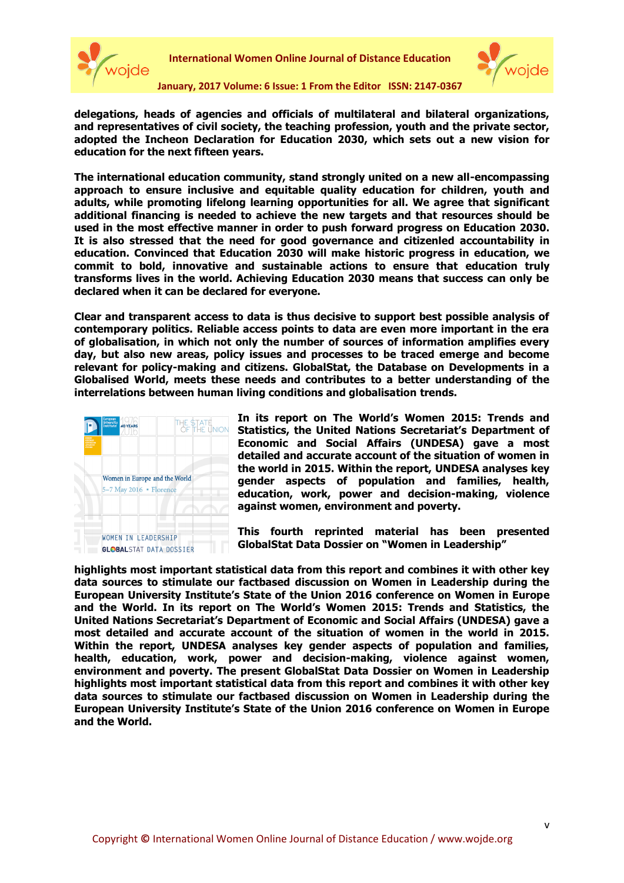



**delegations, heads of agencies and officials of multilateral and bilateral organizations, and representatives of civil society, the teaching profession, youth and the private sector, adopted the Incheon Declaration for Education 2030, which sets out a new vision for education for the next fifteen years.**

**The international education community, stand strongly united on a new all-encompassing approach to ensure inclusive and equitable quality education for children, youth and adults, while promoting lifelong learning opportunities for all. We agree that significant additional financing is needed to achieve the new targets and that resources should be used in the most effective manner in order to push forward progress on Education 2030. It is also stressed that the need for good governance and citizenled accountability in education. Convinced that Education 2030 will make historic progress in education, we commit to bold, innovative and sustainable actions to ensure that education truly transforms lives in the world. Achieving Education 2030 means that success can only be declared when it can be declared for everyone.**

**Clear and transparent access to data is thus decisive to support best possible analysis of contemporary politics. Reliable access points to data are even more important in the era of globalisation, in which not only the number of sources of information amplifies every day, but also new areas, policy issues and processes to be traced emerge and become relevant for policy-making and citizens. GlobalStat, the Database on Developments in a Globalised World, meets these needs and contributes to a better understanding of the interrelations between human living conditions and globalisation trends.** 



**In its report on The World's Women 2015: Trends and Statistics, the United Nations Secretariat's Department of Economic and Social Affairs (UNDESA) gave a most detailed and accurate account of the situation of women in the world in 2015. Within the report, UNDESA analyses key gender aspects of population and families, health, education, work, power and decision-making, violence against women, environment and poverty.**

**This fourth reprinted material has been presented GlobalStat Data Dossier on "Women in Leadership"**

**highlights most important statistical data from this report and combines it with other key data sources to stimulate our factbased discussion on Women in Leadership during the European University Institute's State of the Union 2016 conference on Women in Europe and the World. In its report on The World's Women 2015: Trends and Statistics, the United Nations Secretariat's Department of Economic and Social Affairs (UNDESA) gave a most detailed and accurate account of the situation of women in the world in 2015. Within the report, UNDESA analyses key gender aspects of population and families, health, education, work, power and decision-making, violence against women, environment and poverty. The present GlobalStat Data Dossier on Women in Leadership highlights most important statistical data from this report and combines it with other key data sources to stimulate our factbased discussion on Women in Leadership during the European University Institute's State of the Union 2016 conference on Women in Europe and the World.**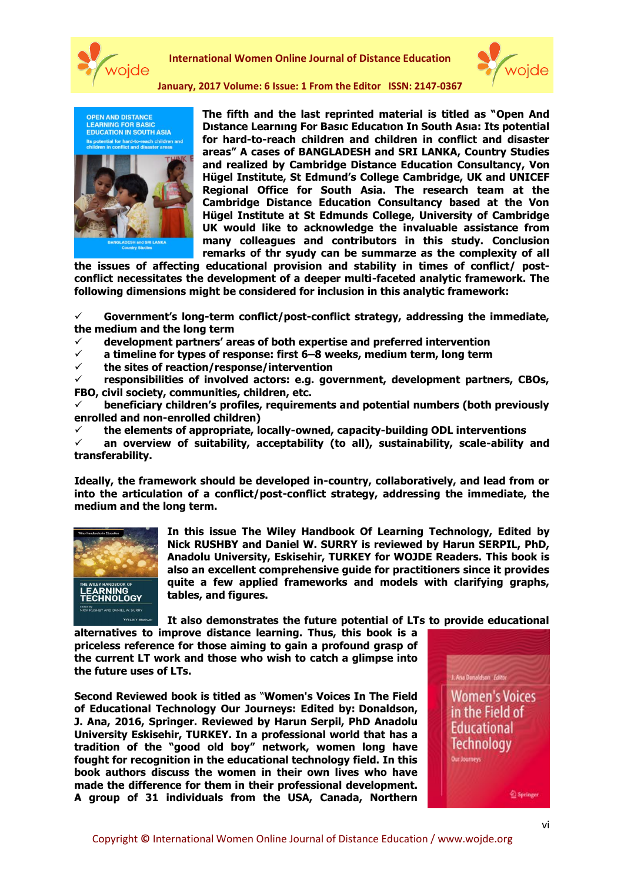

**International Women Online Journal of Distance Education**



**January, 2017 Volume: 6 Issue: 1 From the Editor ISSN: 2147-0367**

**PEN AND DISTANCE LEARNING FOR BASIC<br>EDUCATION IN SOUTH ASIA** 



**The fifth and the last reprinted material is titled as "Open And Dıstance Learnıng For Basıc Educatıon In South Asıa: Its potential for hard-to-reach children and children in conflict and disaster areas" A cases of BANGLADESH and SRI LANKA, Country Studies and realized by Cambridge Distance Education Consultancy, Von Hügel Institute, St Edmund's College Cambridge, UK and UNICEF Regional Office for South Asia. The research team at the Cambridge Distance Education Consultancy based at the Von Hügel Institute at St Edmunds College, University of Cambridge UK would like to acknowledge the invaluable assistance from many colleagues and contributors in this study. Conclusion remarks of thr syudy can be summarze as the complexity of all** 

**the issues of affecting educational provision and stability in times of conflict/ postconflict necessitates the development of a deeper multi-faceted analytic framework. The following dimensions might be considered for inclusion in this analytic framework:**

 **Government's long-term conflict/post-conflict strategy, addressing the immediate, the medium and the long term**

**development partners' areas of both expertise and preferred intervention**

- **a timeline for types of response: first 6–8 weeks, medium term, long term**
- **the sites of reaction/response/intervention**

 **responsibilities of involved actors: e.g. government, development partners, CBOs, FBO, civil society, communities, children, etc.**

 **beneficiary children's profiles, requirements and potential numbers (both previously enrolled and non-enrolled children)**

**the elements of appropriate, locally-owned, capacity-building ODL interventions**

 **an overview of suitability, acceptability (to all), sustainability, scale-ability and transferability.**

**Ideally, the framework should be developed in-country, collaboratively, and lead from or into the articulation of a conflict/post-conflict strategy, addressing the immediate, the medium and the long term.**



**In this issue The Wiley Handbook Of Learning Technology, Edited by Nick RUSHBY and Daniel W. SURRY is reviewed by Harun SERPIL, PhD, Anadolu University, Eskisehir, TURKEY for WOJDE Readers. This book is also an excellent comprehensive guide for practitioners since it provides quite a few applied frameworks and models with clarifying graphs, tables, and figures.** 

**It also demonstrates the future potential of LTs to provide educational** 

**alternatives to improve distance learning. Thus, this book is a priceless reference for those aiming to gain a profound grasp of the current LT work and those who wish to catch a glimpse into the future uses of LTs.**

**Second Reviewed book is titled as** "**Women's Voices In The Field of Educational Technology Our Journeys: Edited by: Donaldson, J. Ana, 2016, Springer. Reviewed by Harun Serpil, PhD Anadolu University Eskisehir, TURKEY. In a professional world that has a tradition of the "good old boy" network, women long have fought for recognition in the educational technology field. In this book authors discuss the women in their own lives who have made the difference for them in their professional development. A group of 31 individuals from the USA, Canada, Northern**